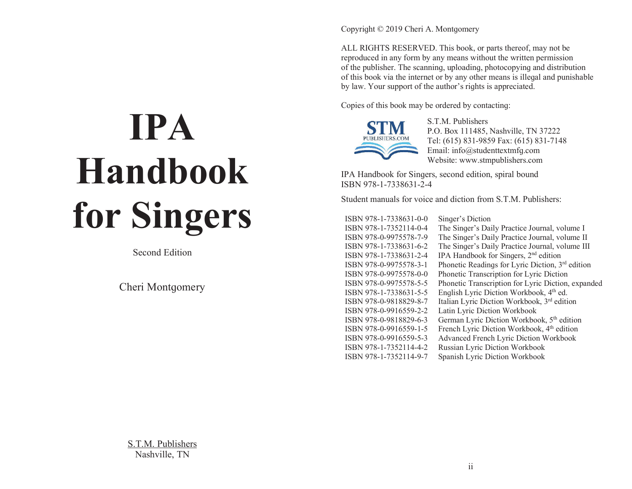# **IPA Handbook for Singers**

Second Edition

Cheri Montqomery

Copyright © 2019 Cheri A. Montgomery

ALL RIGHTS RESERVED. This book, or parts thereof, may not be reproduced in any form by any means without the written permission of the publisher. The scanning, uploading, photocopying and distribution of this book via the internet or by any other means is illegal and punishable by law. Your support of the author's rights is appreciated.

Copies of this book may be ordered by contacting:



S.T.M. Publishers P.O. Box 111485, Nashville, TN 37222 Tel: (615) 831-9859 Fax: (615) 831-7148 Email: info@studenttextmfq.com Website: www.stmpublishers.com

IPA Handbook for Singers, second edition, spiral bound ISBN 978-1-7338631-2-4

Student manuals for voice and diction from S.T.M. Publishers:

ISBN 978-1-7338631-0-0 Singer's Diction

ISBN 978-1-7352114-0-4 The Singer's Daily Practice Journal, volume I ISBN 978-0-9975578-7-9 The Sinܳer's Daily Practice Journal, volume II ISBN 978-1-7338631-6-2 The Singer's Daily Practice Journal, volume III ISBN 978-1-7338631-2-4 IPA Handbook for Singers,  $2<sup>nd</sup>$  edition ISBN 978-0-9975578-3-1 Phonetic Readings for Lyric Diction, 3<sup>rd</sup> edition ISBN 978-0-9975578-0-0 Phonetic Transcription for Lyric Diction ISBN 978-0-9975578-5-5 Phonetic Transcription for Lyric Diction, expanded ISBN 978-1-7338631-5-5 English Lyric Diction Workbook,  $4^{th}$  ed. ISBN 978-0-9818829-8-7 Italian Lyric Diction Workbook, 3rd edition ISBN 978-0-9916559-2-2 Latin Lyric Diction Workbook ISBN 978-0-9818829-6-3 German Lyric Diction Workbook,  $5<sup>th</sup>$  edition ISBN 978-0-9916559-1-5 French Lyric Diction Workbook,  $4<sup>th</sup>$  edition ISBN 978-0-9916559-5-3 Advanced French Lyric Diction Workbook ISBN 978-1-7352114-4-2 Russian Lyric Diction Workbook ISBN 978-1-7352114-9-7 Spanish Lyric Diction Workbook

S.T.M. Publishers Nashville, TN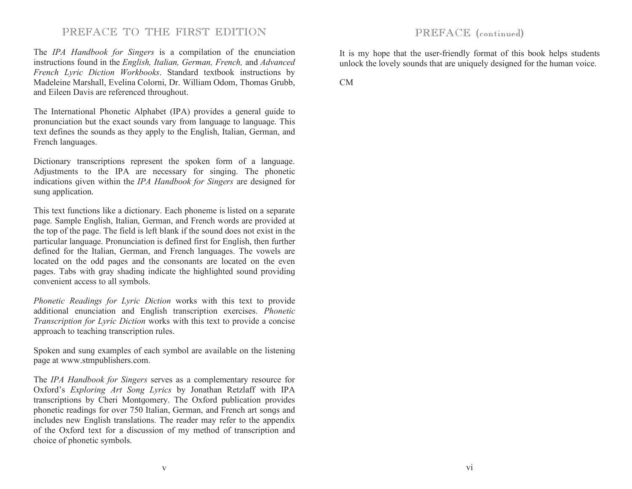# PREFACE TO THE FIRST EDITION

The *IPA Handbook for Singers* is a compilation of the enunciation instructions found in the *English, Italian, German, French,* and *Advanced French Lyric Diction Workbooks*. Standard textbook instructions by Madeleine Marshall, Evelina Colorni, Dr. William Odom, Thomas Grubb, and Eileen Davis are referenced throughout.

The International Phonetic Alphabet (IPA) provides a qeneral quide to pronunciation but the exact sounds vary from language to language. This text defines the sounds as they apply to the English, Italian, German, and French languages.

Dictionary transcriptions represent the spoken form of a language. Adjustments to the IPA are necessary for singing. The phonetic indications given within the *IPA Handbook for Singers* are designed for sung application.

This text functions like a dictionary. Each phoneme is listed on a separate page. Sample English, Italian, German, and French words are provided at the top of the page. The field is left blank if the sound does not exist in the particular language. Pronunciation is defined first for English, then further defined for the Italian, German, and French languages. The vowels are located on the odd pages and the consonants are located on the even pages. Tabs with gray shading indicate the highlighted sound providing convenient access to all symbols.

*Phonetic Readings for Lyric Diction* works with this text to provide additional enunciation and English transcription exercises. *Phonetic Transcription for Lyric Diction* works with this text to provide a concise approach to teaching transcription rules.

Spoken and sung examples of each symbol are available on the listening paqe at www.stmpublishers.com.

The *IPA Handbook for Singers* serves as a complementary resource for Oxford's *Exploring Art Song Lyrics* by Jonathan Retzlaff with IPA transcriptions by Cheri Montgomery. The Oxford publication provides phonetic readings for over 750 Italian, German, and French art songs and includes new English translations. The reader may refer to the appendix of the Oxford text for a discussion of my method of transcription and choice of phonetic symbols.

# PREFACE (continued)

It is my hope that the user-friendly format of this book helps students unlock the lovely sounds that are uniquely designed for the human voice.

CM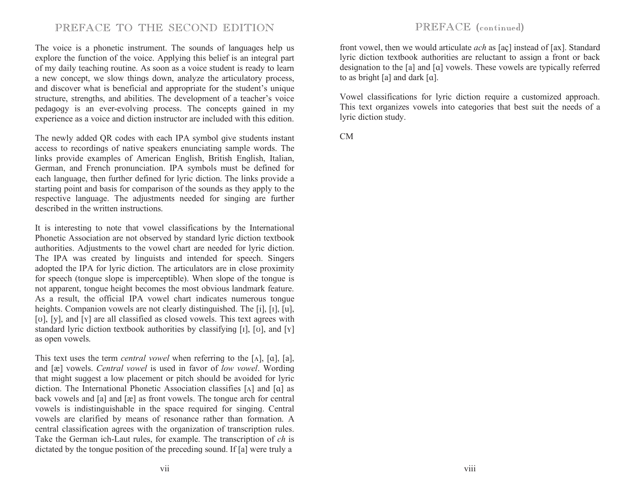# PREFACE TO THE SECOND EDITION

The voice is a phonetic instrument. The sounds of languages help us explore the function of the voice. Applying this belief is an integral part of my daily teaching routine. As soon as a voice student is ready to learn a new concept, we slow things down, analyze the articulatory process, and discover what is beneficial and appropriate for the student's unique structure, strengths, and abilities. The development of a teacher's voice pedaqoqy is an ever-evolving process. The concepts qained in my experience as a voice and diction instructor are included with this edition.

The newly added QR codes with each IPA symbol give students instant access to recordings of native speakers enunciating sample words. The links provide examples of American English, British English, Italian, German, and French pronunciation. IPA symbols must be defined for each language, then further defined for lyric diction. The links provide a starting point and basis for comparison of the sounds as they apply to the respective language. The adjustments needed for singing are further described in the written instructions.

It is interesting to note that vowel classifications by the International Phonetic Association are not observed by standard lyric diction textbook authorities. Adjustments to the vowel chart are needed for lyric diction. The IPA was created by linguists and intended for speech. Singers adopted the IPA for lyric diction. The articulators are in close proximity for speech (tonque slope is imperceptible). When slope of the tonque is not apparent, tonque height becomes the most obvious landmark feature. As a result, the official IPA vowel chart indicates numerous tonque heights. Companion vowels are not clearly distinquished. The [i], [I], [u], [ $U$ ], [y], and [Y] are all classified as closed vowels. This text agrees with standard lyric diction textbook authorities by classifying  $[i]$ ,  $[v]$ , and  $[v]$ as open vowels.

This text uses the term *central vowel* when referring to the  $[\Lambda]$ ,  $[\alpha]$ ,  $[\alpha]$ , and [æ] vowels. *Central vowel* is used in favor of *low vowel*. Wording that might suggest a low placement or pitch should be avoided for lyric diction. The International Phonetic Association classifies  $[\Lambda]$  and  $[\alpha]$  as back vowels and  $[a]$  and  $[x]$  as front vowels. The tonque arch for central vowels is indistinguishable in the space required for singing. Central vowels are clarified by means of resonance rather than formation. A central classification agrees with the organization of transcription rules. Take the German ich-Laut rules, for example. The transcription of *ch* is dictated by the tonque position of the preceding sound. If  $[a]$  were truly a

# PREFACE (continued)

front vowel, then we would articulate *ach* as [aç] instead of [ax]. Standard lyric diction textbook authorities are reluctant to assign a front or back designation to the  $[a]$  and  $[a]$  vowels. These vowels are typically referred to as bright [a] and dark  $[a]$ .

Vowel classifications for lyric diction require a customized approach. This text organizes vowels into categories that best suit the needs of a lyric diction study.

CM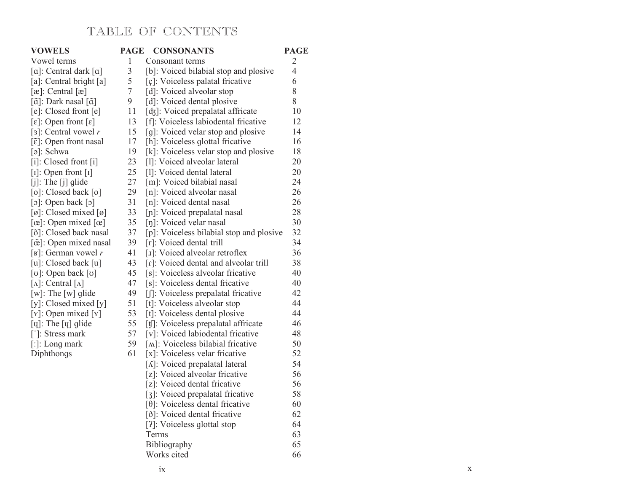# TABLE OF CONTENTS

| <b>VOWELS</b>                                | <b>PAGE</b>    | <b>CONSONANTS</b>                        | <b>PAGE</b>              |
|----------------------------------------------|----------------|------------------------------------------|--------------------------|
| Vowel terms                                  | 1              | Consonant terms                          | $\mathfrak{2}$           |
| [a]: Central dark [a]                        | $\overline{3}$ | [b]: Voiced bilabial stop and plosive    | $\overline{\mathcal{L}}$ |
| [a]: Central bright [a]                      | 5              | [ç]: Voiceless palatal fricative         | 6                        |
| $[\infty]$ : Central $[\infty]$              | $\overline{7}$ | [d]: Voiced alveolar stop                | 8                        |
| [ã]: Dark nasal [ã]                          | 9              | [d]: Voiced dental plosive               | 8                        |
| [e]: Closed front [e]                        | 11             | [dʒ]: Voiced prepalatal affricate        | 10                       |
| $[\varepsilon]$ : Open front $[\varepsilon]$ | 13             | [f]: Voiceless labiodental fricative     | 12                       |
| [3]: Central vowel $r$                       | 15             | [g]: Voiced velar stop and plosive       | 14                       |
| $[\tilde{\epsilon}]$ : Open front nasal      | 17             | [h]: Voiceless glottal fricative         | 16                       |
| $\lceil \circ \rceil$ : Schwa                | 19             | [k]: Voiceless velar stop and plosive    | 18                       |
| $[i]$ : Closed front $[i]$                   | 23             | [1]: Voiced alveolar lateral             | 20                       |
| $[I]$ : Open front $[I]$                     | 25             | [1]: Voiced dental lateral               | 20                       |
| $[j]$ : The $[j]$ glide                      | 27             | [m]: Voiced bilabial nasal               | 24                       |
| [o]: Closed back [o]                         | 29             | [n]: Voiced alveolar nasal               | 26                       |
| [o]: Open back [o]                           | 31             | [n]: Voiced dental nasal                 | 26                       |
| [ø]: Closed mixed [ø]                        | 33             | [n]: Voiced prepalatal nasal             | 28                       |
| $[\alpha]$ : Open mixed $[\alpha]$           | 35             | [n]: Voiced velar nasal                  | 30                       |
| [õ]: Closed back nasal                       | 37             | [p]: Voiceless bilabial stop and plosive | 32                       |
| [œ̃]: Open mixed nasal                       | 39             | [r]: Voiced dental trill                 | 34                       |
| [ $\mathbf{K}$ ]: German vowel r             | 41             | [1]: Voiced alveolar retroflex           | 36                       |
| [u]: Closed back [u]                         | 43             | [r]: Voiced dental and alveolar trill    | 38                       |
| [v]: Open back [v]                           | 45             | [s]: Voiceless alveolar fricative        | 40                       |
| [ $\Lambda$ ]: Central [ $\Lambda$ ]         | 47             | [s]: Voiceless dental fricative          | 40                       |
| $[w]$ : The $[w]$ glide                      | 49             | [f]: Voiceless prepalatal fricative      | 42                       |
| [y]: Closed mixed [y]                        | 51             | [t]: Voiceless alveolar stop             | 44                       |
| $[Y]$ : Open mixed $[Y]$                     | 53             | [t]: Voiceless dental plosive            | 44                       |
| [ų]: The [ų] glide                           | 55             | [t]: Voiceless prepalatal affricate      | 46                       |
| [']: Stress mark                             | 57             | [v]: Voiced labiodental fricative        | 48                       |
| [:]: Long mark                               | 59             | [M]: Voiceless bilabial fricative        | 50                       |
| Diphthongs                                   | 61             | [x]: Voiceless velar fricative           | 52                       |
|                                              |                | [A]: Voiced prepalatal lateral           | 54                       |
|                                              |                | [z]: Voiced alveolar fricative           | 56                       |
|                                              |                | [z]: Voiced dental fricative             | 56                       |
|                                              |                | [3]: Voiced prepalatal fricative         | 58                       |
|                                              |                | $[0]$ : Voiceless dental fricative       | 60                       |
|                                              |                | [ð]: Voiced dental fricative             | 62                       |
|                                              |                | [?]: Voiceless glottal stop              | 64                       |
|                                              |                | Terms                                    | 63                       |
|                                              |                | Bibliography                             | 65                       |
|                                              |                | Works cited                              | 66                       |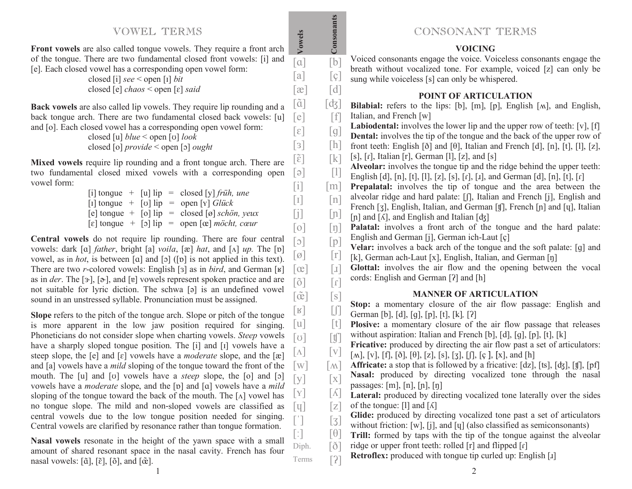# VOWEL TERMS

**Front vowels** are also called tonque vowels. They require a front arch of the tonque. There are two fundamental closed front vowels: [i] and [e]. Each closed vowel has a corresponding open vowel form:

| closed [i] $\text{see}$ < open [I] <i>bit</i>                |
|--------------------------------------------------------------|
| closed [e] <i>chaos</i> < open [ $\varepsilon$ ] <i>said</i> |

**Vowels**

 $[a]$   $[b]$  $[a]$   $[g]$  $[a]$   $[d]$ 

**Back vowels** are also called lip vowels. They require lip rounding and a back tonque arch. There are two fundamental closed back vowels: [u] and [o]. Each closed vowel has a corresponding open vowel form:  $[e]$ 

closed [u] *blue* < open [v] *look* closed [o] *provide* < open [ܧ [*ought* 

Mixed vowels require lip rounding and a front tonque arch. There are two fundamental closed mixed vowels with a corresponding open vowel form:  $[\tilde{\epsilon}]$  $\lceil \varrho \rceil$ 

| [1] tonque + [v] $lip = open [Y]$ Glück<br>[e] tonque + [o] $lip = closed [\emptyset]$ schön, yeux                          |  |  | [i] tonque + [u] $lip = closed [y]$ früh, une | $\sim$ $\sim$ $\sim$ |
|-----------------------------------------------------------------------------------------------------------------------------|--|--|-----------------------------------------------|----------------------|
|                                                                                                                             |  |  |                                               | $[1]$                |
|                                                                                                                             |  |  |                                               | $\lceil i \rceil$    |
| $\lceil \varepsilon \rceil$ tonque + $\lceil \varepsilon \rceil$ lip = open $\lceil \varepsilon \rceil$ <i>möcht, covar</i> |  |  |                                               | $\lceil 0 \rceil$    |

Central vowels do not require lip rounding. There are four central vowels: dark [a] *father*, bright [a] *voila*, [æ] *hat*, and [ $\Lambda$ ] *up*. The [p] vowel, as in *hot*, is between [a] and  $[\circ]$  ([v] is not applied in this text). There are two *r*-colored vowels: English [3] as in *bird*, and German [ʁ] as in *der*. The [ $\rightarrow$ ], [ $\rightarrow$ ], and [ $\bm{v}$ ] vowels represent spoken practice and are not suitable for lyric diction. The schwa [a] is an undefined vowel sound in an unstressed syllable. Pronunciation must be assigned.  $\lceil \circ \rceil$  $\lceil \varnothing \rceil$  $\lceil$ œ $\rceil$  $\lceil \tilde{\text{o}} \rceil$  $\lceil \tilde{\mathsf{ce}} \rceil$ 

**Slope** refers to the pitch of the tonque arch. Slope or pitch of the tonque is more apparent in the low jaw position required for singing. Phoneticians do not consider slope when charting vowels. *Steep* vowels have a sharply sloped tonque position. The [i] and [I] vowels have a steep slope, the [e] and [ɛ] vowels have a *moderate* slope, and the [æ] and [a] vowels have a *mild* sloping of the tonque toward the front of the mouth. The [u] and [v] vowels have a *steep* slope, the [o] and [o] vowels have a *moderate* slope, and the [p] and [a] vowels have a *mild* sloping of the tongue toward the back of the mouth. The  $[\Lambda]$  vowel has no tonque slope. The mild and non-sloped vowels are classified as central vowels due to the low tonque position needed for singing. Central vowels are clarified by resonance rather than tonque formation.  $\lfloor R \rfloor$  $\lceil u \rceil$  $\lceil \sigma \rceil$  $\lceil\Delta\rceil$  $\lceil w \rceil$  $\lceil v \rceil$  $\lbrack \mathrm{Y} \rbrack$  $\lceil$  y  $\rceil$ 

Nasal vowels resonate in the height of the yawn space with a small amount of shared resonant space in the nasal cavity. French has four nasal vowels: [ $\tilde{a}$ ], [ $\tilde{e}$ ], [ $\tilde{o}$ ], and [ $\tilde{c}$ ].  $\lceil$  :  $\rceil$ Diph. Terms

# **CONSONANT TERMS**<br>**CONSONANT TERMS**<br>**VOICING**

Voiced consonants engage the voice. Voiceless consonants engage the breath without vocalized tone. For example, voiced [z] can only be sung while voiceless [s] can only be whispered.

#### **POINT OF ARTICULATION**

| $ \tilde{a} $                                              | [d3]                                                                                                                                                                                                                                                                                                                                                                                                                                                                                                                                                                                                                                                                        | <b>Bilabial:</b> refers to the lips: [b], [m], [p], English [M], and English,                                                                              |
|------------------------------------------------------------|-----------------------------------------------------------------------------------------------------------------------------------------------------------------------------------------------------------------------------------------------------------------------------------------------------------------------------------------------------------------------------------------------------------------------------------------------------------------------------------------------------------------------------------------------------------------------------------------------------------------------------------------------------------------------------|------------------------------------------------------------------------------------------------------------------------------------------------------------|
| [e]                                                        | $\lceil f \rceil$                                                                                                                                                                                                                                                                                                                                                                                                                                                                                                                                                                                                                                                           | Italian, and French [w]                                                                                                                                    |
| $[\epsilon]$                                               | [g]                                                                                                                                                                                                                                                                                                                                                                                                                                                                                                                                                                                                                                                                         | Labiodental: involves the lower lip and the upper row of teeth: [v], [f]<br><b>Dental:</b> involves the tip of the tongue and the back of the upper row of |
| $\lceil 3 \rceil$                                          | [h]                                                                                                                                                                                                                                                                                                                                                                                                                                                                                                                                                                                                                                                                         | front teeth: English [ $\delta$ ] and [ $\theta$ ], Italian and French [d], [n], [t], [1], [z],                                                            |
| $\lceil \tilde{\varepsilon} \rceil$                        | $[k]$                                                                                                                                                                                                                                                                                                                                                                                                                                                                                                                                                                                                                                                                       | [s], $[r]$ , Italian $[r]$ , German $[1]$ , $[z]$ , and $[s]$                                                                                              |
|                                                            |                                                                                                                                                                                                                                                                                                                                                                                                                                                                                                                                                                                                                                                                             | Alveolar: involves the tongue tip and the ridge behind the upper teeth:                                                                                    |
| $[\circ]$                                                  | $[1] % \begin{center} % \includegraphics[width=\linewidth]{imagesSupplemental_3.png} % \end{center} % \caption { % Our method can be used for the proposed method. % Note that the \emph{exponent} is used for the \emph{exponent} and the \emph{exponent} is used for the \emph{exponent} and the \emph{exponent} is used for the \emph{exponent} and the \emph{exponent} is used for the \emph{exponent} and the \emph{exponent} is used for the \emph{exponent} and the \emph{exponent} is used for the \emph{exponent} and the \emph{exponent} is used for the \emph{exponent} and the \emph{exponent} is used for the \emph{exponent} and the \emph{exponent} is used$ | English [d], [n], [t], [l], [z], [s], [r], [1], and German [d], [n], [t], [r]                                                                              |
| $[1]$                                                      | m                                                                                                                                                                                                                                                                                                                                                                                                                                                                                                                                                                                                                                                                           | <b>Prepalatal:</b> involves the tip of tongue and the area between the                                                                                     |
| $[1]$                                                      | $\lceil n \rceil$                                                                                                                                                                                                                                                                                                                                                                                                                                                                                                                                                                                                                                                           | alveolar ridge and hard palate: [f], Italian and French [j], English and                                                                                   |
| $[]$                                                       | [n]                                                                                                                                                                                                                                                                                                                                                                                                                                                                                                                                                                                                                                                                         | French [3], English, Italian, and German [f], French [n] and [q], Italian<br>[n] and $[\Lambda]$ , and English and Italian $[d\xi]$                        |
| [0]                                                        | $[\mathfrak{y}]$                                                                                                                                                                                                                                                                                                                                                                                                                                                                                                                                                                                                                                                            | Palatal: involves a front arch of the tongue and the hard palate:                                                                                          |
| $[\circ]$                                                  |                                                                                                                                                                                                                                                                                                                                                                                                                                                                                                                                                                                                                                                                             | English and German [j], German ich-Laut [ç]                                                                                                                |
|                                                            | [p]                                                                                                                                                                                                                                                                                                                                                                                                                                                                                                                                                                                                                                                                         | Velar: involves a back arch of the tongue and the soft palate: [g] and                                                                                     |
| $\lceil \varnothing \rceil$                                | $[r]$                                                                                                                                                                                                                                                                                                                                                                                                                                                                                                                                                                                                                                                                       | [k], German ach-Laut [x], English, Italian, and German [ŋ]                                                                                                 |
| $[\infty]$                                                 | $\lceil x \rceil$                                                                                                                                                                                                                                                                                                                                                                                                                                                                                                                                                                                                                                                           | Glottal: involves the air flow and the opening between the vocal                                                                                           |
|                                                            |                                                                                                                                                                                                                                                                                                                                                                                                                                                                                                                                                                                                                                                                             | cords: English and German [?] and [h]                                                                                                                      |
| $\lceil \tilde{o} \rceil$                                  | $\lbrack 1 \rbrack$                                                                                                                                                                                                                                                                                                                                                                                                                                                                                                                                                                                                                                                         |                                                                                                                                                            |
|                                                            |                                                                                                                                                                                                                                                                                                                                                                                                                                                                                                                                                                                                                                                                             | <b>MANNER OF ARTICULATION</b>                                                                                                                              |
| $\lceil \tilde{\alpha} \rceil$                             | [s]                                                                                                                                                                                                                                                                                                                                                                                                                                                                                                                                                                                                                                                                         | Stop: a momentary closure of the air flow passage: English and                                                                                             |
| [R]                                                        | $\begin{bmatrix} 0 \\ 0 \end{bmatrix}$                                                                                                                                                                                                                                                                                                                                                                                                                                                                                                                                                                                                                                      | German [b], [d], [g], [p], [t], [k], [?]                                                                                                                   |
| [u]                                                        | [t]                                                                                                                                                                                                                                                                                                                                                                                                                                                                                                                                                                                                                                                                         | Plosive: a momentary closure of the air flow passage that releases                                                                                         |
|                                                            |                                                                                                                                                                                                                                                                                                                                                                                                                                                                                                                                                                                                                                                                             | without aspiration: Italian and French [b], [d], [g], [p], [t], [k]                                                                                        |
| $[\sigma]$                                                 | $[$                                                                                                                                                                                                                                                                                                                                                                                                                                                                                                                                                                                                                                                                         | <b>Fricative:</b> produced by directing the air flow past a set of articulators:                                                                           |
| $\left[ \Lambda \right]$                                   | [v]                                                                                                                                                                                                                                                                                                                                                                                                                                                                                                                                                                                                                                                                         | [ <i>M</i> ], [ <i>V</i> ], [f], [ $\delta$ ], [ $\theta$ ], [ <i>z</i> ], [ <i>s</i> ], [ <i>j</i> ], [ <i>ʃ</i> ], [ <i>ç</i> ], [ <i>x</i> ], and [h]   |
| $[\mathbf{w}]$                                             | $\lceil \mathbf{M} \rceil$                                                                                                                                                                                                                                                                                                                                                                                                                                                                                                                                                                                                                                                  | <b>Affricate:</b> a stop that is followed by a fricative: [dz], [ts], [dʒ], [tʃ], [pf]                                                                     |
| [y]                                                        | $\left[ \text{X} \right]$                                                                                                                                                                                                                                                                                                                                                                                                                                                                                                                                                                                                                                                   | Nasal: produced by directing vocalized tone through the nasal                                                                                              |
| [Y]                                                        | $\lceil \Lambda \rceil$                                                                                                                                                                                                                                                                                                                                                                                                                                                                                                                                                                                                                                                     | passages: $[m], [n], [n], [n]$<br>Lateral: produced by directing vocalized tone laterally over the sides                                                   |
|                                                            |                                                                                                                                                                                                                                                                                                                                                                                                                                                                                                                                                                                                                                                                             | of the tonque: $[1]$ and $[\Lambda]$                                                                                                                       |
| $[\mathbb{q}]$                                             | $\lceil z \rceil$                                                                                                                                                                                                                                                                                                                                                                                                                                                                                                                                                                                                                                                           | Glide: produced by directing vocalized tone past a set of articulators                                                                                     |
| $[\ ]$                                                     | $\left[\begin{matrix} 3 \end{matrix}\right]$                                                                                                                                                                                                                                                                                                                                                                                                                                                                                                                                                                                                                                | without friction: $[w]$ , $[j]$ , and $[u]$ (also classified as semiconsonants)                                                                            |
| $\left[\begin{array}{c} \cdot \\ \cdot \end{array}\right]$ | $\lceil \theta \rceil$                                                                                                                                                                                                                                                                                                                                                                                                                                                                                                                                                                                                                                                      | Trill: formed by taps with the tip of the tongue against the alveolar                                                                                      |
| Diph.                                                      | $\lceil \delta \rceil$<br>$[2]$                                                                                                                                                                                                                                                                                                                                                                                                                                                                                                                                                                                                                                             | ridge or upper front teeth: rolled [r] and flipped [r]<br>Retroflex: produced with tongue tip curled up: English [1]                                       |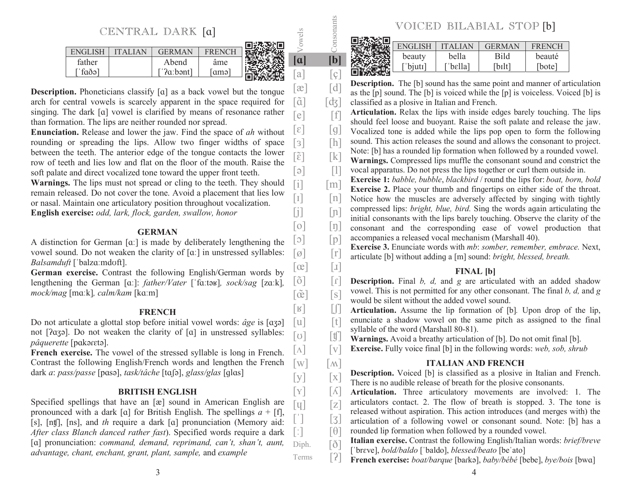CENTRAL DARK [a]

|             |           |     | 41 Y EN 1971 THE |        |              |
|-------------|-----------|-----|------------------|--------|--------------|
| E.          |           | н   |                  |        |              |
| father      | Abena     | ame |                  | $\sim$ | <sup>b</sup> |
| $\int$ faðə | ['?aːbənt | amə |                  | a      | C<br>◡       |
|             |           |     |                  |        |              |

**Control of the State Control** 

**Description.** Phoneticians classify [a] as a back vowel but the tonque arch for central vowels is scarcely apparent in the space required for singing. The dark [a] vowel is clarified by means of resonance rather than formation. The lips are neither rounded nor spread.

**Enunciation.** Release and lower the jaw. Find the space of *ah* without rounding or spreading the lips. Allow two finger widths of space between the teeth. The anterior edge of the tonque contacts the lower row of teeth and lies low and flat on the floor of the mouth. Raise the soft palate and direct vocalized tone toward the upper front teeth.

**Warnings.** The lips must not spread or cling to the teeth. They should remain released. Do not cover the tone. Avoid a placement that lies low or nasal. Maintain one articulatory position throughout vocalization. **English exercise:** *odd, lark, flock, garden, swallow, honor*

#### **GERMAN**

A distinction for German  $[\alpha]$  is made by deliberately lengthening the vowel sound. Do not weaken the clarity of  $\lceil \alpha \rceil$  in unstressed syllables: *Balsamduft* [ˈbalzɑːmdʊft].

**German exercise.** Contrast the following English/German words by lengthening the German [a:]: *father/Vater* ['fa:təʁ], *sock/sag* [za:k], *mock/mag* [maːk], *calm/kam* [kaːm]

#### **FRENCH**

Do not articulate a glottal stop before initial vowel words: *âge* is [a3ə] not [?aʒə]. Do not weaken the clarity of [a] in unstressed syllables: *pâquerette* [pakoreto].  $\lceil \Lambda \rceil$ 

**French exercise.** The vowel of the stressed syllable is long in French. Contrast the following English/French words and lengthen the French dark *a: pass/passe* [pasə], *task/tâche* [taʃə], *glass/glas* [glas]

#### **BRITISH ENGLISH**

Specified spellings that have an [æ] sound in American English are pronounced with a dark [a] for British English. The spellings  $a + [f]$ , [s], [nt], [ns], and *th* require a dark [a] pronunciation (Memory aid: *After class Blanch danced rather fast*). Specified words require a dark [a] pronunciation: *command, demand, reprimand, can't, shan't, aunt, advantage, chant, enchant, grant, plant, sample,* and *example*  $\lceil \tt{u} \rceil$  $\lceil$  :  $\rceil$ Diph. Terms

|     | VOICED BILABIAL STOP [b] |                     |               |               |  |  |  |
|-----|--------------------------|---------------------|---------------|---------------|--|--|--|
| ons | <b>ENGLISH</b>           | <b>ITALIAN</b>      | <b>GERMAN</b> | <b>FRENCH</b> |  |  |  |
| [b] | beauty                   | bella               | <b>Bild</b>   | beauté        |  |  |  |
|     | bjuti <sup>-</sup>       | bellal <sup>-</sup> | [bɪlt]        | [bote]        |  |  |  |

| [a]                                     | [ç]                                                                                                                                                                                                                                                                                                                                                                                                                                                                                                                                                                                                                                                                                                                                                                                                                                                                                                | 回路系统<br>$\frac{1}{2}$ $\frac{1}{2}$ $\frac{1}{2}$ $\frac{1}{2}$ $\frac{1}{2}$ $\frac{1}{2}$ $\frac{1}{2}$ $\frac{1}{2}$ $\frac{1}{2}$ $\frac{1}{2}$ $\frac{1}{2}$ $\frac{1}{2}$ $\frac{1}{2}$ $\frac{1}{2}$ $\frac{1}{2}$ $\frac{1}{2}$ $\frac{1}{2}$ $\frac{1}{2}$ $\frac{1}{2}$ $\frac{1}{2}$ $\frac{1}{2}$ $\frac{1}{2}$ |
|-----------------------------------------|----------------------------------------------------------------------------------------------------------------------------------------------------------------------------------------------------------------------------------------------------------------------------------------------------------------------------------------------------------------------------------------------------------------------------------------------------------------------------------------------------------------------------------------------------------------------------------------------------------------------------------------------------------------------------------------------------------------------------------------------------------------------------------------------------------------------------------------------------------------------------------------------------|-----------------------------------------------------------------------------------------------------------------------------------------------------------------------------------------------------------------------------------------------------------------------------------------------------------------------------|
| $\lceil x \rceil$                       | $\lceil d \rceil$                                                                                                                                                                                                                                                                                                                                                                                                                                                                                                                                                                                                                                                                                                                                                                                                                                                                                  | <b>Description.</b> The [b] sound has the same point and manner of articulation                                                                                                                                                                                                                                             |
| $\lceil \tilde{a} \rceil$               | [d3]                                                                                                                                                                                                                                                                                                                                                                                                                                                                                                                                                                                                                                                                                                                                                                                                                                                                                               | as the [p] sound. The [b] is voiced while the [p] is voiceless. Voiced [b] is                                                                                                                                                                                                                                               |
|                                         |                                                                                                                                                                                                                                                                                                                                                                                                                                                                                                                                                                                                                                                                                                                                                                                                                                                                                                    | classified as a plosive in Italian and French.<br>Articulation. Relax the lips with inside edges barely touching. The lips                                                                                                                                                                                                  |
| [e]                                     | $[f]$                                                                                                                                                                                                                                                                                                                                                                                                                                                                                                                                                                                                                                                                                                                                                                                                                                                                                              | should feel loose and buoyant. Raise the soft palate and release the jaw.                                                                                                                                                                                                                                                   |
| $\lceil \varepsilon \rceil$             | [g]                                                                                                                                                                                                                                                                                                                                                                                                                                                                                                                                                                                                                                                                                                                                                                                                                                                                                                | Vocalized tone is added while the lips pop open to form the following                                                                                                                                                                                                                                                       |
| $[3]$                                   | $[h] \centering% \includegraphics[width=1.0\textwidth]{Figures/PN1.png} \caption{The 3D (black) model for a different region of the parameter $\Omega$. The left side is the same time. The right side is the same time. The right side is the same time. The right side is the same time. The right side is the same time. The right side is the same time. The right side is the same time. The right side is the same time. The right side is the same time. The right side is the same time. The right side is the same time. The right side is the same time. The right side is the same time. The right side is the same time. The right side is the same time. The right side is the same time. The right side is the same time. The right side is the same time. The right side is the same time. The right side is the same time. The right side is the same time. The right side is the$ | sound. This action releases the sound and allows the consonant to project.                                                                                                                                                                                                                                                  |
| $\lceil \widetilde{\varepsilon} \rceil$ | $[k]$                                                                                                                                                                                                                                                                                                                                                                                                                                                                                                                                                                                                                                                                                                                                                                                                                                                                                              | Note: [b] has a rounded lip formation when followed by a rounded vowel.                                                                                                                                                                                                                                                     |
| [ə]                                     | $[1]$                                                                                                                                                                                                                                                                                                                                                                                                                                                                                                                                                                                                                                                                                                                                                                                                                                                                                              | Warnings. Compressed lips muffle the consonant sound and constrict the<br>vocal apparatus. Do not press the lips together or curl them outside in.                                                                                                                                                                          |
|                                         |                                                                                                                                                                                                                                                                                                                                                                                                                                                                                                                                                                                                                                                                                                                                                                                                                                                                                                    | <b>Exercise 1:</b> babble, bubble, blackbird / round the lips for: boat, born, bold                                                                                                                                                                                                                                         |
| $[$                                     | $\lceil m \rceil$                                                                                                                                                                                                                                                                                                                                                                                                                                                                                                                                                                                                                                                                                                                                                                                                                                                                                  | <b>Exercise 2.</b> Place your thumb and fingertips on either side of the throat.                                                                                                                                                                                                                                            |
| $\begin{bmatrix} 1 \end{bmatrix}$       | $\lceil n \rceil$                                                                                                                                                                                                                                                                                                                                                                                                                                                                                                                                                                                                                                                                                                                                                                                                                                                                                  | Notice how the muscles are adversely affected by singing with tightly                                                                                                                                                                                                                                                       |
| [j]                                     | [n]                                                                                                                                                                                                                                                                                                                                                                                                                                                                                                                                                                                                                                                                                                                                                                                                                                                                                                | compressed lips: <i>bright, blue, bird.</i> Sing the words again articulating the                                                                                                                                                                                                                                           |
| $[{\circ}]$                             | $\lfloor \eta \rfloor$                                                                                                                                                                                                                                                                                                                                                                                                                                                                                                                                                                                                                                                                                                                                                                                                                                                                             | initial consonants with the lips barely touching. Observe the clarity of the<br>consonant and the corresponding ease of vowel production that                                                                                                                                                                               |
| $[\circ]$                               | [p]                                                                                                                                                                                                                                                                                                                                                                                                                                                                                                                                                                                                                                                                                                                                                                                                                                                                                                | accompanies a released vocal mechanism (Marshall 40).                                                                                                                                                                                                                                                                       |
| $[\varnothing]$                         | $\left[ \mathbf{r}\right]$                                                                                                                                                                                                                                                                                                                                                                                                                                                                                                                                                                                                                                                                                                                                                                                                                                                                         | Exercise 3. Enunciate words with mb: somber, remember, embrace. Next,                                                                                                                                                                                                                                                       |
| $\lceil \infty \rceil$                  | $\begin{bmatrix} 1 \end{bmatrix}$                                                                                                                                                                                                                                                                                                                                                                                                                                                                                                                                                                                                                                                                                                                                                                                                                                                                  | articulate [b] without adding a [m] sound: bright, blessed, breath.                                                                                                                                                                                                                                                         |
|                                         |                                                                                                                                                                                                                                                                                                                                                                                                                                                                                                                                                                                                                                                                                                                                                                                                                                                                                                    | <b>FINAL</b> [b]                                                                                                                                                                                                                                                                                                            |
| [õ]                                     | $\lceil 1 \rceil$                                                                                                                                                                                                                                                                                                                                                                                                                                                                                                                                                                                                                                                                                                                                                                                                                                                                                  | <b>Description.</b> Final $b$ , $d$ , and $g$ are articulated with an added shadow<br>vowel. This is not permitted for any other consonant. The final $b$ , $d$ , and $g$                                                                                                                                                   |
| $\lceil \tilde{\infty} \rceil$          | [s]                                                                                                                                                                                                                                                                                                                                                                                                                                                                                                                                                                                                                                                                                                                                                                                                                                                                                                | would be silent without the added vowel sound.                                                                                                                                                                                                                                                                              |
| $[\mathbb{R}]$                          | $\left[\begin{matrix} 1 \\ 0 \end{matrix}\right]$                                                                                                                                                                                                                                                                                                                                                                                                                                                                                                                                                                                                                                                                                                                                                                                                                                                  | Articulation. Assume the lip formation of [b]. Upon drop of the lip,                                                                                                                                                                                                                                                        |
| [u]                                     | $[t]$                                                                                                                                                                                                                                                                                                                                                                                                                                                                                                                                                                                                                                                                                                                                                                                                                                                                                              | enunciate a shadow vowel on the same pitch as assigned to the final                                                                                                                                                                                                                                                         |
| $\lceil \sigma \rceil$                  | $[\![\mathfrak{t}]\!]$                                                                                                                                                                                                                                                                                                                                                                                                                                                                                                                                                                                                                                                                                                                                                                                                                                                                             | syllable of the word (Marshall 80-81).<br><b>Warnings.</b> Avoid a breathy articulation of [b]. Do not omit final [b].                                                                                                                                                                                                      |
| $\big[ \Lambda \big]$                   | $\lceil v \rceil$                                                                                                                                                                                                                                                                                                                                                                                                                                                                                                                                                                                                                                                                                                                                                                                                                                                                                  | <b>Exercise.</b> Fully voice final [b] in the following words: web, sob, shrub                                                                                                                                                                                                                                              |
| $\lceil w \rceil$                       |                                                                                                                                                                                                                                                                                                                                                                                                                                                                                                                                                                                                                                                                                                                                                                                                                                                                                                    | <b>ITALIAN AND FRENCH</b>                                                                                                                                                                                                                                                                                                   |
|                                         | $\lceil \mathbf{M} \rceil$                                                                                                                                                                                                                                                                                                                                                                                                                                                                                                                                                                                                                                                                                                                                                                                                                                                                         | <b>Description.</b> Voiced [b] is classified as a plosive in Italian and French.                                                                                                                                                                                                                                            |
| [y]                                     | $\left[ \mathbf{X}\right]$                                                                                                                                                                                                                                                                                                                                                                                                                                                                                                                                                                                                                                                                                                                                                                                                                                                                         | There is no audible release of breath for the plosive consonants.                                                                                                                                                                                                                                                           |
| $\big[ \mathrm{Y} \big]$                | $\lceil \Lambda \rceil$                                                                                                                                                                                                                                                                                                                                                                                                                                                                                                                                                                                                                                                                                                                                                                                                                                                                            | Articulation. Three articulatory movements are involved:<br>1.<br>The                                                                                                                                                                                                                                                       |
| $[\tt{v}]$                              | [z]                                                                                                                                                                                                                                                                                                                                                                                                                                                                                                                                                                                                                                                                                                                                                                                                                                                                                                | articulators contact. 2. The flow of breath is stopped. 3. The tone is                                                                                                                                                                                                                                                      |
| [']                                     | $\left[\begin{matrix} 3 \end{matrix}\right]$                                                                                                                                                                                                                                                                                                                                                                                                                                                                                                                                                                                                                                                                                                                                                                                                                                                       | released without aspiration. This action introduces (and merges with) the<br>articulation of a following vowel or consonant sound. Note: [b] has a                                                                                                                                                                          |
| $\begin{bmatrix} \cdot \end{bmatrix}$   | $\lceil \theta \rceil$                                                                                                                                                                                                                                                                                                                                                                                                                                                                                                                                                                                                                                                                                                                                                                                                                                                                             | rounded lip formation when followed by a rounded vowel.                                                                                                                                                                                                                                                                     |
| Diph.                                   | $[\delta]$                                                                                                                                                                                                                                                                                                                                                                                                                                                                                                                                                                                                                                                                                                                                                                                                                                                                                         | Italian exercise. Contrast the following English/Italian words: brief/breve                                                                                                                                                                                                                                                 |
|                                         |                                                                                                                                                                                                                                                                                                                                                                                                                                                                                                                                                                                                                                                                                                                                                                                                                                                                                                    | ['breve], bold/baldo ['baldo], blessed/beato [be'ato]                                                                                                                                                                                                                                                                       |
| Terms                                   | [?]                                                                                                                                                                                                                                                                                                                                                                                                                                                                                                                                                                                                                                                                                                                                                                                                                                                                                                | French exercise: boat/barque [barka], baby/bébé [bebe], bye/bois [bwa]                                                                                                                                                                                                                                                      |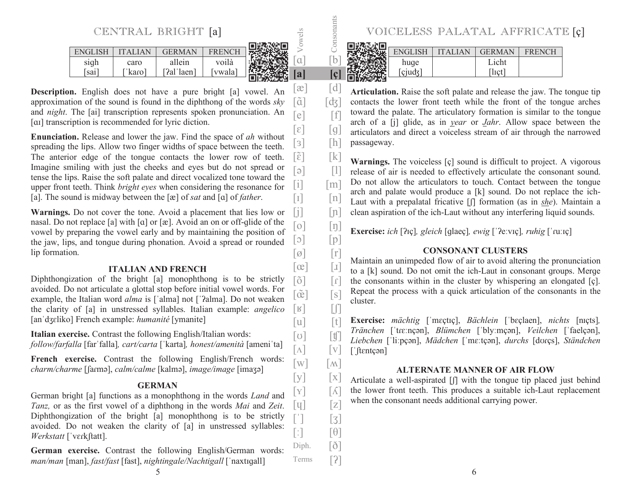CENTRAL BRIGHT [a]

| FNGT |      | <b>GERMAN</b> | <b>FRENC</b> |  |
|------|------|---------------|--------------|--|
| sigh | caro | allein        | voilà        |  |
| sai  | karo | [ʔalˈlaen]    | vwala        |  |
|      |      |               |              |  |

[ã]

[b] Vowels<br>[Consonants]

**[a] [ç]**  $[\mathfrak{E}]$   $[\mathfrak{d}]$ 

 $[e]$   $[f]$  $[\epsilon]$   $[g]$ 

 $\lceil e \rceil$   $\lceil 1 \rceil$ 

 $\begin{bmatrix} 1 \end{bmatrix}$   $\begin{bmatrix} n \end{bmatrix}$ 

 $\lceil \infty \rceil$   $\lceil x \rceil$ 

 $\lceil w \rceil$   $\lceil \mathbf{M} \rceil$ 

Terms  $[2]$ 

 $[s]$ 

 $\lceil 3 \rceil$ 

 $\lceil d \mathbf{x} \rceil$ 

**Description.** English does not have a pure bright [a] vowel. An approximation of the sound is found in the diphthong of the words *sky* and *night*. The [ai] transcription represents spoken pronunciation. An [a] transcription is recommended for lyric diction.

**Enunciation.** Release and lower the jaw. Find the space of *ah* without spreading the lips. Allow two finger widths of space between the teeth. The anterior edge of the tonque contacts the lower row of teeth. Imaqine smiling with just the cheeks and eyes but do not spread or tense the lips. Raise the soft palate and direct vocalized tone toward the upper front teeth. Think *bright eyes* when considering the resonance for [a]. The sound is midway between the  $[\infty]$  of *sat* and  $[\infty]$  of *father*.  $[s]$   $[h]$  $[\tilde{\epsilon}]$   $[k]$  $[i]$   $[m]$ 

**Warnings.** Do not cover the tone. Avoid a placement that lies low or nasal. Do not replace [a] with  $\lceil \alpha \rceil$  or  $\lceil \alpha \rceil$ . Avoid an on or off-qlide of the vowel by preparing the vowel early and by maintaining the position of the jaw, lips, and tonque during phonation. Avoid a spread or rounded lip formation.  $[i]$   $[n]$  $[0]$   $[1]$  $[p]$   $[p]$  $\lceil \emptyset \rceil$   $\lceil r \rceil$ 

#### **ITALIAN AND FRENCH**

Diphthonqization of the bright [a] monophthong is to be strictly avoided. Do not articulate a qlottal stop before initial vowel words. For example, the Italian word *alma* is ['alma] not ['?alma]. Do not weaken the clarity of [a] in unstressed syllables. Italian example: *angelico* [an'dʒɛliko] French example: *humanité* [ymanite]  $\lceil \tilde{o} \rceil$   $\lceil r \rceil$  $\lceil \tilde{\alpha} \rceil$  $\begin{bmatrix} \mathbf{R} \end{bmatrix}$   $\begin{bmatrix} \mathbf{L} \end{bmatrix}$  $\begin{bmatrix} u \end{bmatrix}$   $\begin{bmatrix} t \end{bmatrix}$ 

**Italian exercise.** Contrast the following English/Italian words: *follow/farfalla* [farˈfalla], *cart/carta* ['karta], *honest/amenità* [ameni'ta]

French exercise. Contrast the following English/French words: *charm/charme* [ʃaɾmə], *calm/calme* [kalmə], *image/image* [imaʒə]

### **GERMAN**

German bright [a] functions as a monophthong in the words *Land* and *Tanz*, or as the first vowel of a diphthong in the words *Mai* and *Zeit*. Diphthongization of the bright  $[a]$  monophthong is to be strictly avoided. Do not weaken the clarity of [a] in unstressed syllables: *Werkstatt* [ˈvɛɾkʃtatt].  $\lceil q \rceil$   $\lceil z \rceil$  $\lceil$ :  $\rceil$   $\lceil \theta \rceil$ Diph. [ $\delta$ ]

**German exercise.** Contrast the following English/German words: *man/man* [man], *fast/fast* [fast], *nightingale/Nachtigall* [<sup>ޖ</sup>naxtܼܳall]



|  | VOICELESS PALATAL AFFRICATE [ç] |                            |              |               |  |
|--|---------------------------------|----------------------------|--------------|---------------|--|
|  |                                 |                            |              |               |  |
|  |                                 | ENGLISH   ITALIAN   GERMAN |              | <b>FRENCH</b> |  |
|  | huge                            |                            | Licht        |               |  |
|  | [ciudz]                         |                            | $[$ lict $]$ |               |  |
|  |                                 |                            |              |               |  |

Articulation. Raise the soft palate and release the jaw. The tonque tip contacts the lower front teeth while the front of the tonque arches toward the palate. The articulatory formation is similar to the tonque arch of a [j] qlide, as in *year* or *Jahr*. Allow space between the articulators and direct a voiceless stream of air through the narrowed passageway.

**Warnings.** The voiceless [ç] sound is difficult to project. A vigorous release of air is needed to effectively articulate the consonant sound. Do not allow the articulators to touch. Contact between the tonque arch and palate would produce a [k] sound. Do not replace the ich-Laut with a prepalatal fricative [f] formation (as in *she*). Maintain a clean aspiration of the ich-Laut without any interfering liquid sounds.

 $\mathbf{Exercise:}$  *ich* [ʔɪç], gleich [ɡlaeç], ewig [ˈʔeːvɪç], ruhig [ˈɾuːɪç]

#### **CONSONANT CLUSTERS**

Maintain an unimpeded flow of air to avoid altering the pronunciation to a  $[k]$  sound. Do not omit the ich-Laut in consonant groups. Merge the consonants within in the cluster by whispering an elongated  $[c]$ . Repeat the process with a quick articulation of the consonants in the cluster.

**Exercise:** *mächtig* ['mɛçtɪç], *Bächlein* ['bɛçlaen], *nichts* [nɪçts], *Tränchen* [ˈtɾɛːnçən], *Blümchen* [ˈblyːmçən], *Veilchen* [ˈfaelçən], Liebchen [ˈliːpcən], *Mädchen* [ˈmɛːtcən], *durchs* [dʊɾcs], *Ständchen* [ˈftɛntçən]  $[\sigma]$   $[\mathfrak{y}]$  $\lceil \Lambda \rceil$   $\lceil v \rceil$ 

#### **ALTERNATE MANNER OF AIR FLOW**

Articulate a well-aspirated  $\left[\right]$  with the tonque tip placed just behind the lower front teeth. This produces a suitable ich-Laut replacement when the consonant needs additional carrying power.  $[y]$   $[x]$  $[Y]$   $[\Lambda]$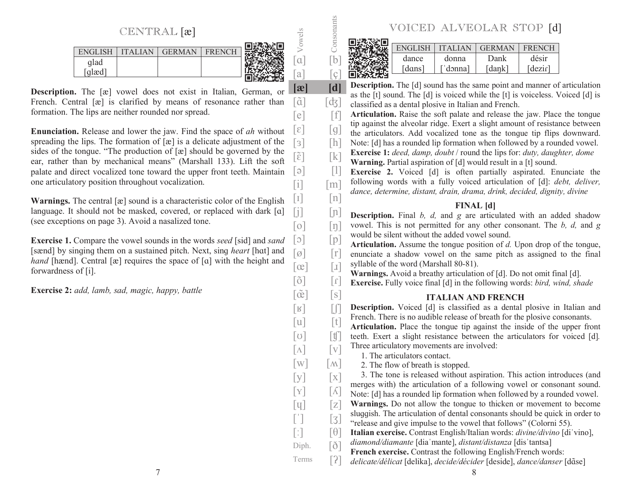CENTRAL [æ]

|        |                       |        |        | a = |
|--------|-----------------------|--------|--------|-----|
| EN(ii] | $\Delta$ I I $\Delta$ | GERMAN | н<br>H |     |
| glad   |                       |        |        |     |
| glæd   |                       |        |        |     |
|        |                       |        |        |     |

[ã]

 $\lceil \tilde{\mathsf{ce}} \rceil$ 

 $\lceil \Lambda \rceil$   $\lceil \mathbf{v} \rceil$  $\lceil w \rceil$   $\lceil \mathbf{M} \rceil$  $[y]$   $[x]$  $\lceil \mathbf{Y} \rceil$   $\lceil \mathbf{A} \rceil$ 

 $[s]$ 

[a] Vowels<br>
Consonants<br>
Consonants

 $[a]$   $[c]$ **[æ] [d]**

 $[e]$   $[f]$ 

 $\lceil d_3 \rceil$ 

**Description.** The [æ] vowel does not exist in Italian, German, or French. Central [æ] is clarified by means of resonance rather than formation. The lips are neither rounded nor spread.

**Enunciation.** Release and lower the jaw. Find the space of *ah* without spreading the lips. The formation of  $[\alpha]$  is a delicate adjustment of the sides of the tonque. "The production of  $[\alpha]$  should be governed by the ear, rather than by mechanical means" (Marshall 133). Lift the soft palate and direct vocalized tone toward the upper front teeth. Maintain one articulatory position throughout vocalization.  $[\epsilon]$   $[g]$  $\lceil \varphi \rceil$   $\lceil \varphi \rceil$  $[i]$   $[m]$ 

**Warnings.** The central  $[\mathbf{\hat{x}}]$  sound is a characteristic color of the English language. It should not be masked, covered, or replaced with dark [a] (see exceptions on page 3). Avoid a nasalized tone.  $\begin{bmatrix} 1 \end{bmatrix}$   $\begin{bmatrix} n \end{bmatrix}$ 

**Exercise 1.** Compare the vowel sounds in the words *seed* [sid] and *sand* [sænd] by singing them on a sustained pitch. Next, sing *heart* [hat] and *hand* [hænd]. Central [æ] requires the space of [a] with the height and forwardness of [i].

**Exercise 2:** *add, lamb, sad, magic, happy, battle*

| VOICED ALVEOLAR STOP [d] |  |
|--------------------------|--|
|                          |  |

|  | VOICED ALVEOLAR STOP [d] |                 |               |               |
|--|--------------------------|-----------------|---------------|---------------|
|  |                          | ENGLISH TTALIAN | <b>GERMAN</b> | <b>FRENCH</b> |
|  | dance                    | donna           | Dank          | désir         |
|  | [dans]                   | ['donna]        | [dank]        | [dezir]       |
|  |                          |                 |               |               |

**Description.** The [d] sound has the same point and manner of articulation as the [t] sound. The [d] is voiced while the [t] is voiceless. Voiced [d] is classified as a dental plosive in Italian and French.

Articulation. Raise the soft palate and release the jaw. Place the tonque tip against the alveolar ridge. Exert a slight amount of resistance between the articulators. Add vocalized tone as the tonque tip flips downward.

Note: [d] has a rounded lip formation when followed by a rounded vowel.  $[s]$   $[h]$ 

**Exercise 1:** *deed, damp, doubt* / round the lips for: *duty, daughter, dome* **Warning.** Partial aspiration of [d] would result in a [t] sound.  $\lceil \tilde{\varepsilon} \rceil$   $\lceil k \rceil$ 

> **Exercise 2.** Voiced [d] is often partially aspirated. Enunciate the following words with a fully voiced articulation of [d]: *debt, deliver, dance, determine, distant, drain, drama, drink, decided, dignity, divine*

## **FINAL [d]**

**Description.** Final *b, d,* and *g* are articulated with an added shadow vowel. This is not permitted for any other consonant. The *b, d,* and *g*  would be silent without the added vowel sound. $[j]$   $[n]$  $\lceil o \rceil$   $\lceil n \rceil$  $\lceil 5 \rceil$   $\lceil p \rceil$ 

**Articulation.** Assume the tonque position of *d*. Upon drop of the tonque, enunciate a shadow vowel on the same pitch as assigned to the final syllable of the word (Marshall 80-81).  $\lceil \emptyset \rceil$   $\lceil r \rceil$  $\lceil \infty \rceil$   $\lceil \cdot \rceil$ 

**Warnings.** Avoid a breathy articulation of [d]. Do not omit final [d].

**Exercise.** Fully voice final [d] in the following words: *bird, wind, shade*  $\lceil \tilde{o} \rceil$   $\lceil$   $\tilde{o} \rceil$ 

# **ITALIAN AND FRENCH**

**Description.** Voiced [d] is classified as a dental plosive in Italian and French. There is no audible release of breath for the plosive consonants.  $\begin{bmatrix} \mathbf{R} \end{bmatrix}$   $\begin{bmatrix} \mathbf{L} \end{bmatrix}$  $\begin{bmatrix} u \end{bmatrix}$   $\begin{bmatrix} t \end{bmatrix}$ 

Articulation. Place the tonque tip against the inside of the upper front teeth. Exert a slight resistance between the articulators for voiced [d]. Three articulatory movements are involved:  $\lceil \text{U} \rceil$   $\lceil \text{U} \rceil$ 

1. The articulators contact.

2. The flow of breath is stopped.

 3. The tone is released without aspiration. This action introduces (and merges with) the articulation of a following vowel or consonant sound. Note: [d] has a rounded lip formation when followed by a rounded vowel.

- **Warnings.** Do not allow the tonque to thicken or movement to become sluqqish. The articulation of dental consonants should be quick in order to  $\lceil \mathbf{u} \rceil$   $\lceil \mathbf{z} \rceil$
- "release and qive impulse to the vowel that follows" (Colorni 55).  $\begin{bmatrix} 1 \\ 2 \end{bmatrix} \qquad \begin{bmatrix} 3 \\ 4 \end{bmatrix}$
- **Italian exercise.** Contrast English/Italian words: *divine/divino* [di'vino],  $\lceil$ :  $\lceil$   $\Theta$   $\rceil$
- *diamond/diamante* [dia mante], *distant/distanza* [dis tantsa] Diph. [ $\delta$ ]
	- **French exercise.** Contrast the following English/French words:
- delicate/délicat [delika], *decide/décider* [deside], *dance/danser* [dɑ̃se] Terms  $[2]$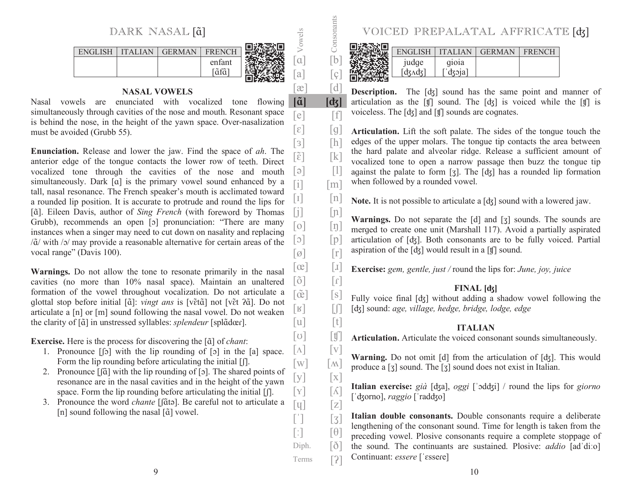

 $\left[\tilde{a}\right]$ 

 $[a]$   $[c]$  $[\mathfrak{E}]$   $[\mathfrak{d}]$ 

 $[e]$   $[f]$  $\lceil \varepsilon \rceil$   $\lceil g \rceil$ 

 $\boxed{\text{Consonants}}$ 

**[ݶ] [**

 $[s]$ 

 $\lceil \text{U} \rceil$   $\lceil \text{U} \rceil$  $\lceil \Lambda \rceil$   $\lceil \mathrm{V} \rceil$  $\lceil w \rceil$   $\lceil \mathbf{M} \rceil$  $[y]$   $[x]$ 

 $\lceil \mathbf{q} \rceil$   $\lceil \mathbf{z} \rceil$  $\begin{bmatrix} 1 \\ 2 \end{bmatrix} \qquad \begin{bmatrix} 3 \\ 4 \end{bmatrix}$  $\lceil$ :  $\rceil$   $\lceil \Theta \rceil$ Diph. [ $\delta$ ] Terms  $[2]$ 

## **NASAL VOWELS**

Nasal vowels are enunciated with vocalized tone flowing simultaneously through cavities of the nose and mouth. Resonant space is behind the nose, in the height of the yawn space. Over-nasalization must be avoided (Grubb 55).

**Enunciation.** Release and lower the jaw. Find the space of *ah*. The anterior edge of the tonque contacts the lower row of teeth. Direct vocalized tone through the cavities of the nose and mouth simultaneously. Dark [a] is the primary vowel sound enhanced by a tall, nasal resonance. The French speaker's mouth is acclimated toward a rounded lip position. It is accurate to protrude and round the lips for [ $\tilde{a}$ ]. Eileen Davis, author of *Sing French* (with foreword by Thomas Grubb), recommends an open [o] pronunciation: "There are many instances when a singer may need to cut down on nasality and replacing  $/\tilde{a}/$  with  $/$ o $/$  may provide a reasonable alternative for certain areas of the vocal range" (Davis 100).  $[s]$   $[h]$  $[\tilde{\epsilon}]$   $[k]$  $\begin{bmatrix} \ni \\ \ni \end{bmatrix}$  $[i]$   $[m]$  $\begin{bmatrix} 1 \end{bmatrix}$   $\begin{bmatrix} n \end{bmatrix}$  $[i]$   $[n]$  $[0]$   $[1]$  $[p]$   $[p]$  $\lceil \emptyset \rceil$   $\lceil r \rceil$ 

**Warnings.** Do not allow the tone to resonate primarily in the nasal cavities (no more than 10% nasal space). Maintain an unaltered formation of the vowel throughout vocalization. Do not articulate a glottal stop before initial [ $\tilde{a}$ ]: *vingt ans* is [vɛ̃t $\tilde{a}$ ] not [vɛ̃t ʔɑ̃]. Do not articulate a  $[n]$  or  $[m]$  sound following the nasal vowel. Do not weaken the clarity of [ɑ̃] in unstressed syllables: *splendeur* [splɑ̃dœɾ].  $\lceil \tilde{o} \rceil$   $\lceil r \rceil$  $\lceil \tilde{\alpha} \rceil$  $\begin{bmatrix} \mathbb{R} \end{bmatrix}$   $\begin{bmatrix} \mathbb{L} \end{bmatrix}$  $[u]$   $[t]$ 

**Exercise.** Here is the process for discovering the [ $\tilde{a}$ ] of *chant*:

- 1. Pronounce  $\lceil \cdot \rfloor$  with the lip rounding of  $\lceil \cdot \rceil$  in the  $\lceil \cdot \rceil$  space. Form the lip rounding before articulating the initial  $[| \cdot |]$ .
- 2. Pronounce  $\left[\left[\widetilde{\alpha}\right] \right]$  with the lip rounding of  $\left[\circ\right]$ . The shared points of resonance are in the nasal cavities and in the height of the yawn space. Form the lip rounding before articulating the initial  $[ $\int$ ].$  $\lceil \mathbf{Y} \rceil$   $\lceil \mathbf{A} \rceil$
- 3. Pronounce the word *chante* [[ɑ̃tǝ]. Be careful not to articulate a [n] sound following the nasal [ $\tilde{a}$ ] vowel.

| VOICED PREPALATAL AFFRICATE [ck] |              |                                     |  |
|----------------------------------|--------------|-------------------------------------|--|
|                                  |              |                                     |  |
|                                  |              | ENGLISH   ITALIAN   GERMAN   FRENCH |  |
| judge<br>[dʒʌdʒ]                 | gioia        |                                     |  |
|                                  | $\int$ dzoja |                                     |  |
|                                  |              |                                     |  |

**Description.** The [dz] sound has the same point and manner of articulation as the  $[f]$  sound. The  $[d_3]$  is voiced while the  $[f]$  is voiceless. The  $[d_3]$  and  $[f]$  sounds are cognates.

**Articulation.** Lift the soft palate. The sides of the tongue touch the edges of the upper molars. The tonque tip contacts the area between the hard palate and alveolar ridge. Release a sufficient amount of vocalized tone to open a narrow passage then buzz the tonque tip against the palate to form [ $3$ ]. The [ $dy$ ] has a rounded lip formation when followed by a rounded vowel.

**Note.** It is not possible to articulate a [dʒ] sound with a lowered jaw.

**Warnings.** Do not separate the [d] and [ $\overline{3}$ ] sounds. The sounds are merqed to create one unit (Marshall 117). Avoid a partially aspirated articulation of [dʒ]. Both consonants are to be fully voiced. Partial aspiration of the  $[d_3]$  would result in a  $[f]$  sound.

**Exercise:** *gem, gentle, just /* round the lips for: *June, joy, juice*  $\lceil \infty \rceil$   $\lceil \cdot \rceil$ 

# **FINAL [ [ݶ**

Fully voice final [dʒ] without adding a shadow vowel following the [dʒ] sound: *age, village, hedge, bridge, lodge, edge* 

# **ITALIAN**

**Articulation.** Articulate the voiced consonant sounds simultaneously.

**Warning.** Do not omit [d] from the articulation of [dʒ]. This would produce a  $\lceil 3 \rceil$  sound. The  $\lceil 3 \rceil$  sound does not exist in Italian.

Italian exercise: *già* [dʒa], *oggi* [ˈɔddʒi] / round the lips for *giorno* [ˈʤorno], *raggio* [ˈradʤo]

**Italian double consonants.** Double consonants require a deliberate lengthening of the consonant sound. Time for length is taken from the preceding vowel. Plosive consonants require a complete stoppage of the sound. The continuants are sustained. Plosive: *addio* [ad di:o] Continuant: *essere* ['essere]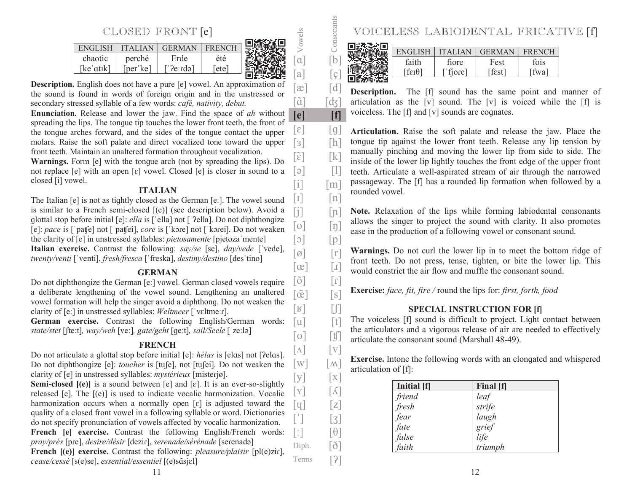# CLOSED FRONT [e]

| <b>ENGLISH</b> |          | <b>GERMAN</b> | <b>FRENCH</b> | 出处形 |
|----------------|----------|---------------|---------------|-----|
| chaotic        | perché   | Erde          | été           |     |
| [keˈɑtɪk]      | [per ke] | ['?e:rdə]     | letel         |     |
|                |          |               |               |     |

Vowels

[ã]

 $[a]$   $[g]$  $[\mathfrak{E}]$   $[\mathfrak{d}]$ 

**[e] [f]**  $[\epsilon]$   $[g]$  $[s]$   $[h]$  $[\tilde{\epsilon}]$   $[k]$  $[3] \qquad [1]$  $[i]$   $[m]$ 

[b] Consonants

 $\lceil d_3 \rceil$ 

 $[s]$ 

 $\lceil 3 \rceil$ 

 $\lceil \Lambda \rceil$   $\lceil v \rceil$  $\lceil w \rceil$   $\lceil \mathbf{M} \rceil$ 

**Description.** English does not have a pure [e] vowel. An approximation of the sound is found in words of foreign origin and in the unstressed or secondary stressed syllable of a few words: *café, nativity, debut.*

**Enunciation.** Release and lower the jaw. Find the space of *ah* without spreading the lips. The tonque tip touches the lower front teeth, the front of the tonque arches forward, and the sides of the tonque contact the upper molars. Raise the soft palate and direct vocalized tone toward the upper front teeth. Maintain an unaltered formation throughout vocalization.

**Warnings.** Form [e] with the tonque arch (not by spreading the lips). Do not replace  $[e]$  with an open  $[e]$  vowel. Closed  $[e]$  is closer in sound to a closed [i] vowel.

#### **ITALIAN**

The Italian [e] is not as tightly closed as the German [e:]. The vowel sound is similar to a French semi-closed [(e)] (see description below). Avoid a glottal stop before initial [e]: *ella* is ['ella] not ['?ella]. Do not diphthongize [e]: *pace* is ['pat[e] not ['pat[ei], *core* is ['kore] not ['korei]. Do not weaken the clarity of [e] in unstressed syllables: *pietosamente* [pjetoza mente] **Italian exercise.** Contrast the following: *say/se* [se], *day/vede* ['vede], *twenty/venti* ['venti], *fresh/fresca* ['freska], *destiny/destino* [des'tino]  $\begin{bmatrix} 1 \end{bmatrix}$   $\begin{bmatrix} n \end{bmatrix}$  $[i]$   $[n]$  $[0]$   $[1]$  $\lceil \circ \rceil$   $\lceil p \rceil$  $\lceil \emptyset \rceil$   $\lceil r \rceil$  $\lceil \infty \rceil$   $\lceil x \rceil$ 

### **GERMAN**

Do not diphthonqize the German [e:] vowel. German closed vowels require a deliberate lengthening of the vowel sound. Lengthening an unaltered vowel formation will help the singer avoid a diphthong. Do not weaken the clarity of [e:] in unstressed syllables: Weltmeer ['vɛltmeːr]. German exercise. Contrast the following English/German words: *state/stet* [fte:t], *way/weh* [ve:], *gate/geht* [qe:t], *sail/Seele* ['ze:lə]  $\lceil \tilde{o} \rceil$   $\lceil r \rceil$  $\lceil \tilde{\alpha} \rceil$  $\begin{bmatrix} \mathbb{R} \end{bmatrix}$   $\begin{bmatrix} \mathbb{R} \end{bmatrix}$  $[u]$   $[t]$  $\begin{bmatrix} 0 \end{bmatrix}$   $\begin{bmatrix} 0 \\ 1 \end{bmatrix}$ 

# **FRENCH**

Do not articulate a glottal stop before initial [e]: *hélas* is [elas] not [?elas]. Do not diphthonqize [e]: *toucher* is [tu<sub>[e]</sub>, not [tu<sup>[e]</sup>]. Do not weaken the clarity of [e] in unstressed syllables: *mystérieux* [misterjø].

**Semi-closed**  $[(e)]$  is a sound between  $[e]$  and  $[\varepsilon]$ . It is an ever-so-slightly released [e]. The [(e)] is used to indicate vocalic harmonization. Vocalic harmonization occurs when a normally open  $[\varepsilon]$  is adjusted toward the quality of a closed front vowel in a following syllable or word. Dictionaries do not specify pronunciation of vowels affected by vocalic harmonization. **French [e] exercise.** Contrast the following English/French words:  $[y]$   $[x]$  $\lceil \mathbf{Y} \rceil$   $\lceil \mathbf{A} \rceil$  $\lceil \mathbf{q} \rceil$   $\lceil \mathbf{z} \rceil$  $\lceil$ :  $\rceil$   $\qquad$   $\lceil \theta \rceil$ 

*pray/prés* [pɾe], *desire/désir* [deziɾ], *serenade/sérénade* [seɾenadə] **French [(e)] exercise.** Contrast the following: *pleasure/plaisir* [pl(e)zir], *cease/cessé* [s(e)se], *essential/essentiel* [(e)sɑ̃sjɛl] Diph. [ $\delta$ ] Terms  $[2]$ 

| VOICELESS LABIODENTAL FRICATIVE [f] |                            |        |               |  |
|-------------------------------------|----------------------------|--------|---------------|--|
|                                     |                            |        |               |  |
|                                     | ENGLISH   ITALIAN   GERMAN |        | <b>FRENCH</b> |  |
| faith                               | fiore                      | Fest   | fois          |  |
| [fεɪθ]                              | $r$ fjore]                 | [fest] | [fwa]         |  |
|                                     |                            |        |               |  |

**Description.** The [f] sound has the same point and manner of articulation as the [v] sound. The [v] is voiced while the [f] is voiceless. The  $[f]$  and  $[v]$  sounds are coqnates.

**Articulation.** Raise the soft palate and release the jaw. Place the tonque tip against the lower front teeth. Release any lip tension by manually pinching and moving the lower lip from side to side. The inside of the lower lip lightly touches the front edge of the upper front teeth. Articulate a well-aspirated stream of air through the narrowed passageway. The [f] has a rounded lip formation when followed by a rounded vowel.

Note. Relaxation of the lips while forming labiodental consonants allows the singer to project the sound with clarity. It also promotes ease in the production of a following vowel or consonant sound.

Warnings. Do not curl the lower lip in to meet the bottom ridge of front teeth. Do not press, tense, tighten, or bite the lower lip. This would constrict the air flow and muffle the consonant sound.

**Exercise:** *face, fit, fire /* round the lips for: *first, forth, food*

# **SPECIAL INSTRUCTION FOR [f]**

The voiceless [f] sound is difficult to project. Light contact between the articulators and a vigorous release of air are needed to effectively articulate the consonant sound (Marshall 48-49).

**Exercise.** Intone the following words with an elongated and whispered articulation of [f]:

| Initial [f] | Final [f] |
|-------------|-----------|
| friend      | leaf      |
| fresh       | strife    |
| fear        | laugh     |
| fate        | grief     |
| false       | life      |
| faith       | triumph   |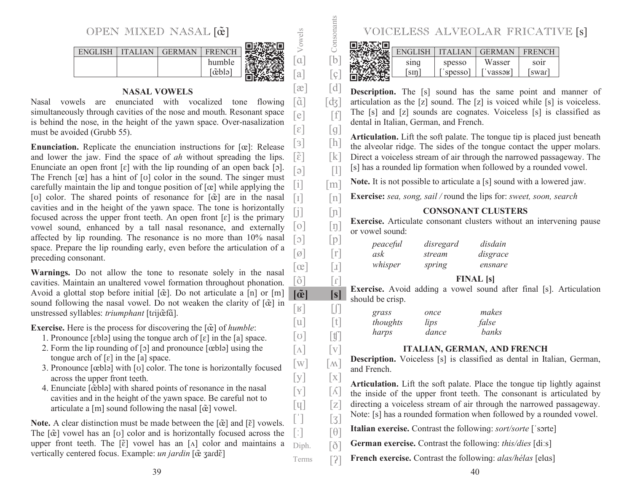

lã1

 $[a]$   $[c]$  $[\mathfrak{E}]$   $[\mathfrak{d}]$ 

 $[e]$   $[f]$ 

 $\lceil \tilde{o} \rceil$   $\lceil$   $\tilde{o} \rceil$ 

 $\begin{bmatrix} \mathbf{R} \end{bmatrix}$   $\begin{bmatrix} \mathbf{L} \end{bmatrix}$  $[u]$   $[t]$  $\lceil \text{U} \rceil$   $\lceil \text{U} \rceil$  $\lceil \Lambda \rceil$   $\lceil v \rceil$  $\lceil w \rceil$   $\lceil \mathbf{M} \rceil$  $[y]$   $[x]$  $[Y]$   $[\Lambda]$  $\lceil q \rceil$   $\lceil z \rceil$ 

**] [s]**

 $\lceil 3 \rceil$ 

 $\left[ \tilde{\alpha} \right]$ 

[b] Consonants

 $\lceil d \zeta \rceil$ 

# **NASAL VOWELS**

Nasal vowels are enunciated with vocalized tone flowing simultaneously through cavities of the nose and mouth. Resonant space is behind the nose, in the height of the yawn space. Over-nasalization must be avoided (Grubb 55).  $[\epsilon]$   $[g]$ 

**Enunciation.** Replicate the enunciation instructions for [œ]: Release and lower the jaw. Find the space of *ah* without spreading the lips. Enunciate an open front  $\lceil \varepsilon \rceil$  with the lip rounding of an open back  $\lceil \varepsilon \rceil$ . The French  $[\alpha]$  has a hint of  $[\sigma]$  color in the sound. The singer must carefully maintain the lip and tonque position of  $[\alpha]$  while applying the [v] color. The shared points of resonance for [ $\tilde{\alpha}$ ] are in the nasal cavities and in the height of the yawn space. The tone is horizontally focused across the upper front teeth. An open front  $[\varepsilon]$  is the primary vowel sound, enhanced by a tall nasal resonance, and externally affected by lip rounding. The resonance is no more than 10% nasal space. Prepare the lip rounding early, even before the articulation of a preceding consonant.  $\lceil 3 \rceil$   $\lceil \ln \rceil$  $[\tilde{\epsilon}]$   $[k]$  $\lceil e \rceil$   $\lceil 1 \rceil$  $[i]$   $[m]$  $\lceil$   $\lceil$   $\lceil$   $\lceil$   $\lceil$   $\lceil$   $\lceil$   $\lceil$   $\lceil$   $\lceil$   $\lceil$   $\lceil$   $\lceil$   $\lceil$   $\lceil$   $\lceil$   $\lceil$   $\lceil$   $\lceil$   $\lceil$   $\lceil$   $\lceil$   $\lceil$   $\lceil$   $\lceil$   $\lceil$   $\lceil$   $\lceil$   $\lceil$   $\lceil$   $\lceil$   $\lceil$   $\lceil$   $\lceil$   $\lceil$   $\lceil$   $\lceil$  $[j]$   $[n]$  $[0]$   $[1]$  $[\circ]$   $[p]$  $\lceil \emptyset \rceil$   $\lceil \Gamma \rceil$  $\lceil \infty \rceil$   $\lceil x \rceil$ 

**Warnings.** Do not allow the tone to resonate solely in the nasal cavities. Maintain an unaltered vowel formation throughout phonation. Avoid a glottal stop before initial [ $\tilde{\alpha}$ ]. Do not articulate a [n] or [m] sound following the nasal vowel. Do not weaken the clarity of [ $\tilde{c}$ ] in unstressed syllables: *triumphant* [tɾijœ̃fɑ̃].

**Exercise.** Here is the process for discovering the [ $\tilde{\alpha}$ ] of *humble*:

- 1. Pronounce [ɛblə] using the tonque arch of  $\lceil \varepsilon \rceil$  in the [a] space.
- 2. Form the lip rounding of  $\lceil 5 \rceil$  and pronounce  $\lceil \frac{1}{2} \rceil$  using the tonque arch of  $[\varepsilon]$  in the  $[a]$  space.
- 3. Pronounce  $[\text{cblə}]$  with  $[\text{o}]$  color. The tone is horizontally focused across the upper front teeth.
- 4. Enunciate [cẽblə] with shared points of resonance in the nasal cavities and in the height of the yawn space. Be careful not to articulate a [m] sound following the nasal  $[\tilde{\alpha}]$  vowel.

**Note.** A clear distinction must be made between the  $[\tilde{\alpha}]$  and  $[\tilde{\epsilon}]$  vowels. The  $[\tilde{\alpha}]$  vowel has an [v] color and is horizontally focused across the upper front teeth. The  $[\tilde{\epsilon}]$  vowel has an [ $\Lambda$ ] color and maintains a vertically centered focus. Example: *un jardin* [œ̃ ʒaɾdɛ̃] Diph. [ $\delta$ ]



|  |                |                | ELESS ALVEOLAR FRICATIVE |                   |  |
|--|----------------|----------------|--------------------------|-------------------|--|
|  |                |                |                          |                   |  |
|  | <b>ENGLISH</b> | <b>ITALIAN</b> | <b>GERMAN</b>            | <b>FRENCH</b>     |  |
|  | sing           | spesso         | Wasser                   | so <sub>1</sub> r |  |
|  | sin            | spesso         | $\lceil$ 'vassək]        | swar              |  |
|  |                |                |                          |                   |  |

**Description.** The [s] sound has the same point and manner of articulation as the [z] sound. The [z] is voiced while [s] is voiceless. The [s] and [z] sounds are cognates. Voiceless [s] is classified as dental in Italian, German, and French. **Articulation.** Lift the soft palate. The tongue tip is placed just beneath the alveolar ridge. The sides of the tonque contact the upper molars. Direct a voiceless stream of air through the narrowed passageway. The [s] has a rounded lip formation when followed by a rounded vowel. **Note.** It is not possible to articulate a [s] sound with a lowered jaw. **Exercise:** *sea, song, sail /* round the lips for: *sweet, soon, search* **CONSONANT CLUSTERSExercise.** Articulate consonant clusters without an intervening pause or vowel sound: *peaceful disregard disdain ask stream disgrace whisper spring ensnare* **FINAL [s] Exercise.** Avoid adding a vowel sound after final [s]. Articulation should be crisp.  *grass once makes thoughts lips false harps dance banks* **ITALIAN, GERMAN, AND FRENCH Description.** Voiceless [s] is classified as dental in Italian, German, and French.**Articulation.** Lift the soft palate. Place the tongue tip lightly against the inside of the upper front teeth. The consonant is articulated by

directing a voiceless stream of air through the narrowed passageway. Note: [s] has a rounded formation when followed by a rounded vowel.

**Italian exercise.** Contrast the following: *sort/sorte* ['sorte]  $\lceil$ :  $\rceil$   $\lceil \theta \rceil$ 

**German exercise.** Contrast the following: *this/dies* [di:s]

**French exercise.** Contrast the following: *alas/hélas* [elas] Terms  $[2]$